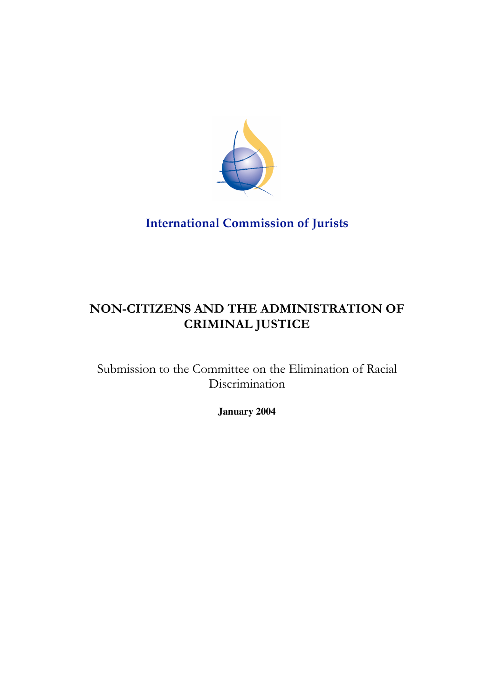

**International Commission of Jurists**

# **NON-CITIZENS AND THE ADMINISTRATION OF CRIMINAL JUSTICE**

Submission to the Committee on the Elimination of Racial Discrimination

**January 2004**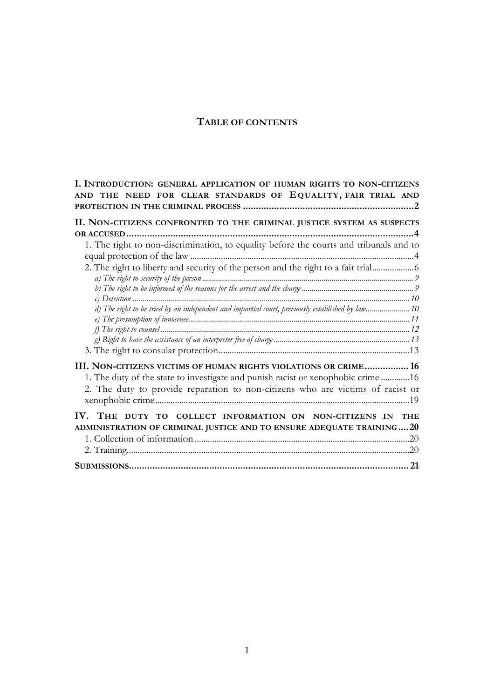## **TABLE OF CONTENTS**

| I. INTRODUCTION: GENERAL APPLICATION OF HUMAN RIGHTS TO NON-CITIZENS<br>AND THE NEED FOR CLEAR STANDARDS OF EQUALITY, FAIR TRIAL AND |
|--------------------------------------------------------------------------------------------------------------------------------------|
|                                                                                                                                      |
| II. NON-CITIZENS CONFRONTED TO THE CRIMINAL JUSTICE SYSTEM AS SUSPECTS                                                               |
|                                                                                                                                      |
| 1. The right to non-discrimination, to equality before the courts and tribunals and to                                               |
|                                                                                                                                      |
| 2. The right to liberty and security of the person and the right to a fair trial                                                     |
|                                                                                                                                      |
|                                                                                                                                      |
| d) The right to be tried by an independent and impartial court, previously established by law 10                                     |
|                                                                                                                                      |
|                                                                                                                                      |
|                                                                                                                                      |
|                                                                                                                                      |
| III. NON-CITIZENS VICTIMS OF HUMAN RIGHTS VIOLATIONS OR CRIME 16                                                                     |
| 1. The duty of the state to investigate and punish racist or xenophobic crime 16                                                     |
| 2. The duty to provide reparation to non-citizens who are victims of racist or                                                       |
|                                                                                                                                      |
| IV. THE DUTY TO COLLECT INFORMATION ON NON-CITIZENS IN<br>THE                                                                        |
| ADMINISTRATION OF CRIMINAL JUSTICE AND TO ENSURE ADEQUATE TRAINING20                                                                 |
|                                                                                                                                      |
|                                                                                                                                      |
|                                                                                                                                      |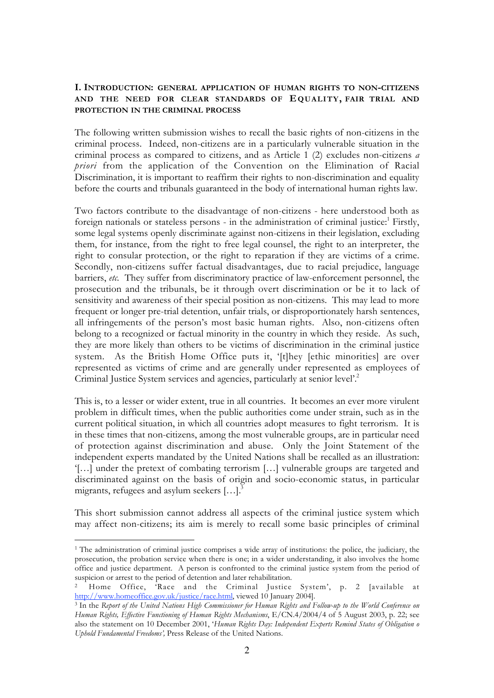## **I. INTRODUCTION: GENERAL APPLICATION OF HUMAN RIGHTS TO NON-CITIZENS AND THE NEED FOR CLEAR STANDARDS OF EQUALITY, FAIR TRIAL AND PROTECTION IN THE CRIMINAL PROCESS**

The following written submission wishes to recall the basic rights of non-citizens in the criminal process. Indeed, non-citizens are in a particularly vulnerable situation in the criminal process as compared to citizens, and as Article 1 (2) excludes non-citizens *a priori* from the application of the Convention on the Elimination of Racial Discrimination, it is important to reaffirm their rights to non-discrimination and equality before the courts and tribunals guaranteed in the body of international human rights law.

Two factors contribute to the disadvantage of non-citizens - here understood both as foreign nationals or stateless persons - in the administration of criminal justice: $<sup>1</sup>$  Firstly,</sup> some legal systems openly discriminate against non-citizens in their legislation, excluding them, for instance, from the right to free legal counsel, the right to an interpreter, the right to consular protection, or the right to reparation if they are victims of a crime. Secondly, non-citizens suffer factual disadvantages, due to racial prejudice, language barriers, *etc.* They suffer from discriminatory practice of law-enforcement personnel, the prosecution and the tribunals, be it through overt discrimination or be it to lack of sensitivity and awareness of their special position as non-citizens. This may lead to more frequent or longer pre-trial detention, unfair trials, or disproportionately harsh sentences, all infringements of the person's most basic human rights. Also, non-citizens often belong to a recognized or factual minority in the country in which they reside. As such, they are more likely than others to be victims of discrimination in the criminal justice system. As the British Home Office puts it, '[t]hey [ethic minorities] are over represented as victims of crime and are generally under represented as employees of Criminal Justice System services and agencies, particularly at senior level'.2

This is, to a lesser or wider extent, true in all countries. It becomes an ever more virulent problem in difficult times, when the public authorities come under strain, such as in the current political situation, in which all countries adopt measures to fight terrorism. It is in these times that non-citizens, among the most vulnerable groups, are in particular need of protection against discrimination and abuse. Only the Joint Statement of the independent experts mandated by the United Nations shall be recalled as an illustration: '[…] under the pretext of combating terrorism […] vulnerable groups are targeted and discriminated against on the basis of origin and socio-economic status, in particular migrants, refugees and asylum seekers  $[...]$ <sup>3</sup>

This short submission cannot address all aspects of the criminal justice system which may affect non-citizens; its aim is merely to recall some basic principles of criminal

<sup>1</sup> The administration of criminal justice comprises a wide array of institutions: the police, the judiciary, the prosecution, the probation service when there is one; in a wider understanding, it also involves the home office and justice department. A person is confronted to the criminal justice system from the period of suspicion or arrest to the period of detention and later rehabilitation.

Home Office, 'Race and the Criminal Justice System', p. 2 [available at http://www.homeoffice.gov.uk/justice/race.html, viewed 10 January 2004].

<sup>3</sup> In the *Report of the United Nations High Commissioner for Human Rights and Follow-up to the World Conference on Human Rights, Effective Functioning of Human Rights Mechanisms*, E/CN.4/2004/4 of 5 August 2003, p. 22; see also the statement on 10 December 2001, '*Human Rights Day: Independent Experts Remind States of Obligation o Uphold Fundamental Freedoms',* Press Release of the United Nations.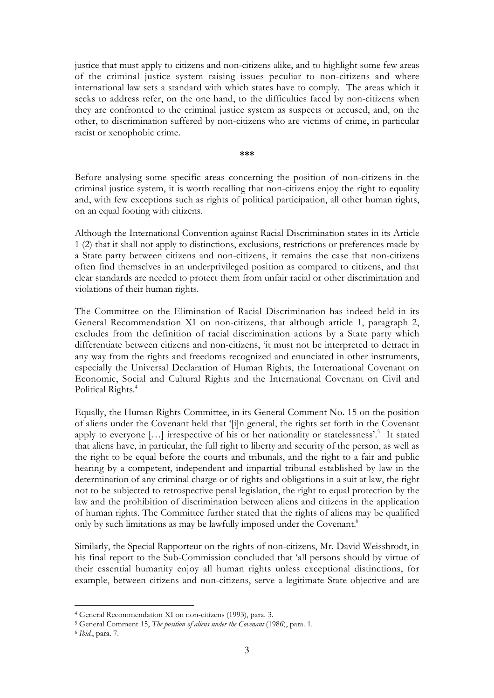justice that must apply to citizens and non-citizens alike, and to highlight some few areas of the criminal justice system raising issues peculiar to non-citizens and where international law sets a standard with which states have to comply. The areas which it seeks to address refer, on the one hand, to the difficulties faced by non-citizens when they are confronted to the criminal justice system as suspects or accused, and, on the other, to discrimination suffered by non-citizens who are victims of crime, in particular racist or xenophobic crime.

**\*\*\***

Before analysing some specific areas concerning the position of non-citizens in the criminal justice system, it is worth recalling that non-citizens enjoy the right to equality and, with few exceptions such as rights of political participation, all other human rights, on an equal footing with citizens.

Although the International Convention against Racial Discrimination states in its Article 1 (2) that it shall not apply to distinctions, exclusions, restrictions or preferences made by a State party between citizens and non-citizens, it remains the case that non-citizens often find themselves in an underprivileged position as compared to citizens, and that clear standards are needed to protect them from unfair racial or other discrimination and violations of their human rights.

The Committee on the Elimination of Racial Discrimination has indeed held in its General Recommendation XI on non-citizens, that although article 1, paragraph 2, excludes from the definition of racial discrimination actions by a State party which differentiate between citizens and non-citizens, 'it must not be interpreted to detract in any way from the rights and freedoms recognized and enunciated in other instruments, especially the Universal Declaration of Human Rights, the International Covenant on Economic, Social and Cultural Rights and the International Covenant on Civil and Political Rights.<sup>4</sup>

Equally, the Human Rights Committee, in its General Comment No. 15 on the position of aliens under the Covenant held that '[i]n general, the rights set forth in the Covenant apply to everyone [...] irrespective of his or her nationality or statelessness'.<sup>5</sup> It stated that aliens have, in particular, the full right to liberty and security of the person, as well as the right to be equal before the courts and tribunals, and the right to a fair and public hearing by a competent, independent and impartial tribunal established by law in the determination of any criminal charge or of rights and obligations in a suit at law, the right not to be subjected to retrospective penal legislation, the right to equal protection by the law and the prohibition of discrimination between aliens and citizens in the application of human rights. The Committee further stated that the rights of aliens may be qualified only by such limitations as may be lawfully imposed under the Covenant.<sup>6</sup>

Similarly, the Special Rapporteur on the rights of non-citizens, Mr. David Weissbrodt, in his final report to the Sub-Commission concluded that 'all persons should by virtue of their essential humanity enjoy all human rights unless exceptional distinctions, for example, between citizens and non-citizens, serve a legitimate State objective and are

<sup>4</sup> General Recommendation XI on non-citizens (1993), para. 3.

<sup>5</sup> General Comment 15, *The position of aliens under the Covenant* (1986), para. 1.

<sup>6</sup> *Ibid.*, para. 7.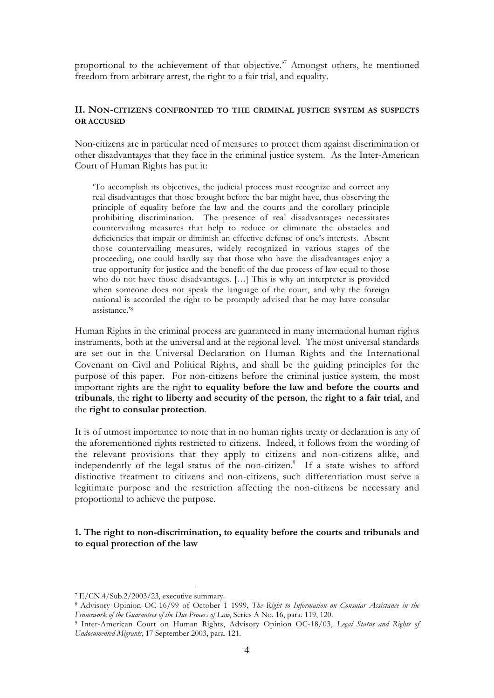proportional to the achievement of that objective.<sup> $7$ </sup> Amongst others, he mentioned freedom from arbitrary arrest, the right to a fair trial, and equality.

## **II. NON-CITIZENS CONFRONTED TO THE CRIMINAL JUSTICE SYSTEM AS SUSPECTS OR ACCUSED**

Non-citizens are in particular need of measures to protect them against discrimination or other disadvantages that they face in the criminal justice system. As the Inter-American Court of Human Rights has put it:

'To accomplish its objectives, the judicial process must recognize and correct any real disadvantages that those brought before the bar might have, thus observing the principle of equality before the law and the courts and the corollary principle prohibiting discrimination. The presence of real disadvantages necessitates countervailing measures that help to reduce or eliminate the obstacles and deficiencies that impair or diminish an effective defense of one's interests. Absent those countervailing measures, widely recognized in various stages of the proceeding, one could hardly say that those who have the disadvantages enjoy a true opportunity for justice and the benefit of the due process of law equal to those who do not have those disadvantages. […] This is why an interpreter is provided when someone does not speak the language of the court, and why the foreign national is accorded the right to be promptly advised that he may have consular assistance.'8

Human Rights in the criminal process are guaranteed in many international human rights instruments, both at the universal and at the regional level. The most universal standards are set out in the Universal Declaration on Human Rights and the International Covenant on Civil and Political Rights, and shall be the guiding principles for the purpose of this paper. For non-citizens before the criminal justice system, the most important rights are the right **to equality before the law and before the courts and tribunals**, the **right to liberty and security of the person**, the **right to a fair trial**, and the **right to consular protection**.

It is of utmost importance to note that in no human rights treaty or declaration is any of the aforementioned rights restricted to citizens. Indeed, it follows from the wording of the relevant provisions that they apply to citizens and non-citizens alike, and independently of the legal status of the non-citizen.<sup>9</sup> If a state wishes to afford distinctive treatment to citizens and non-citizens, such differentiation must serve a legitimate purpose and the restriction affecting the non-citizens be necessary and proportional to achieve the purpose.

## **1. The right to non-discrimination, to equality before the courts and tribunals and to equal protection of the law**

<sup>7</sup> E/CN.4/Sub.2/2003/23, executive summary.

<sup>8</sup> Advisory Opinion OC-16/99 of October 1 1999, *The Right to Information on Consular Assistance in the Framework of the Guarantees of the Due Process of Law*, Series A No. 16, para. 119, 120.

<sup>9</sup> Inter-American Court on Human Rights, Advisory Opinion OC-18/03, *Legal Status and Rights of Undocumented Migrants*, 17 September 2003, para. 121.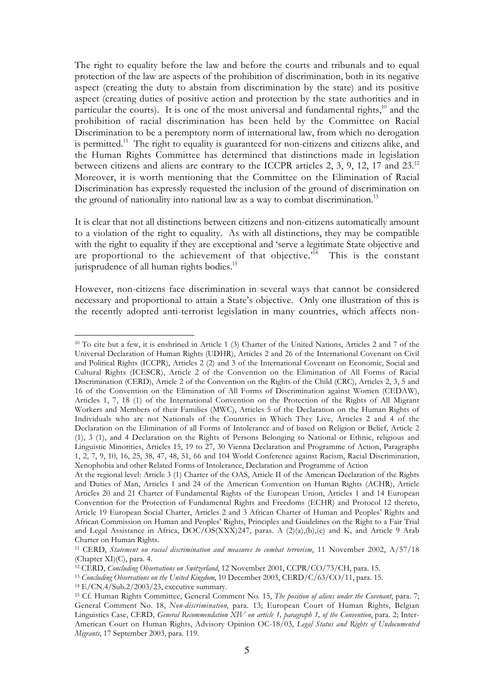The right to equality before the law and before the courts and tribunals and to equal protection of the law are aspects of the prohibition of discrimination, both in its negative aspect (creating the duty to abstain from discrimination by the state) and its positive aspect (creating duties of positive action and protection by the state authorities and in particular the courts). It is one of the most universal and fundamental rights, $10$  and the prohibition of racial discrimination has been held by the Committee on Racial Discrimination to be a peremptory norm of international law, from which no derogation is permitted.<sup>11</sup> The right to equality is guaranteed for non-citizens and citizens alike, and the Human Rights Committee has determined that distinctions made in legislation between citizens and aliens are contrary to the ICCPR articles 2, 3, 9, 12, 17 and 23.<sup>12</sup> Moreover, it is worth mentioning that the Committee on the Elimination of Racial Discrimination has expressly requested the inclusion of the ground of discrimination on the ground of nationality into national law as a way to combat discrimination.<sup>13</sup>

It is clear that not all distinctions between citizens and non-citizens automatically amount to a violation of the right to equality. As with all distinctions, they may be compatible with the right to equality if they are exceptional and 'serve a legitimate State objective and are proportional to the achievement of that objective.<sup> $1\overline{4}$ </sup> This is the constant jurisprudence of all human rights bodies.<sup>15</sup>

However, non-citizens face discrimination in several ways that cannot be considered necessary and proportional to attain a State's objective. Only one illustration of this is the recently adopted anti-terrorist legislation in many countries, which affects non-

<sup>10</sup> To cite but a few, it is enshrined in Article 1 (3) Charter of the United Nations, Articles 2 and 7 of the Universal Declaration of Human Rights (UDHR), Articles 2 and 26 of the International Covenant on Civil and Political Rights (ICCPR), Articles 2 (2) and 3 of the International Covenant on Economic, Social and Cultural Rights (ICESCR), Article 2 of the Convention on the Elimination of All Forms of Racial Discrimination (CERD), Article 2 of the Convention on the Rights of the Child (CRC), Articles 2, 3, 5 and 16 of the Convention on the Elimination of All Forms of Discrimination against Women (CEDAW), Articles 1, 7, 18 (1) of the International Convention on the Protection of the Rights of All Migrant Workers and Members of their Families (MWC), Articles 5 of the Declaration on the Human Rights of Individuals who are not Nationals of the Countries in Which They Live, Articles 2 and 4 of the Declaration on the Elimination of all Forms of Intolerance and of based on Religion or Belief, Article 2 (1), 3 (1), and 4 Declaration on the Rights of Persons Belonging to National or Ethnic, religious and Linguistic Minorities, Articles 15, 19 to 27, 30 Vienna Declaration and Programme of Action, Paragraphs 1, 2, 7, 9, 10, 16, 25, 38, 47, 48, 51, 66 and 104 World Conference against Racism, Racial Discrimination, Xenophobia and other Related Forms of Intolerance, Declaration and Programme of Action

At the regional level: Article 3 (1) Charter of the OAS, Article II of the American Declaration of the Rights and Duties of Man, Articles 1 and 24 of the American Convention on Human Rights (ACHR), Article Articles 20 and 21 Charter of Fundamental Rights of the European Union, Articles 1 and 14 European Convention for the Protection of Fundamental Rights and Freedoms (ECHR) and Protocol 12 thereto, Article 19 European Social Charter, Articles 2 and 3 African Charter of Human and Peoples' Rights and African Commission on Human and Peoples' Rights, Principles and Guidelines on the Right to a Fair Trial and Legal Assistance in Africa,  $DOC/OS(XXX)247$ , paras. A  $(2)(a),(b),(c)$  and K, and Article 9 Arab Charter on Human Rights.

<sup>11</sup> CERD, *Statement on racial discrimination and measures to combat terrorism*, 11 November 2002, A/57/18 (Chapter XI)(C), para. 4.

<sup>12</sup> CERD, *Concluding Observations on Switzerland*, 12 November 2001, CCPR/CO/73/CH, para. 15.

<sup>13</sup> *Concluding Observations on the United Kingdom*, 10 December 2003, CERD/C/63/CO/11, para. 15.

<sup>14</sup> E/CN.4/Sub.2/2003/23, executive summary.

<sup>15</sup> Cf. Human Rights Committee, General Comment No. 15, *The position of aliens under the Covenant*, para. 7; General Comment No. 18, *Non-discrimination*, para. 13; European Court of Human Rights, Belgian Linguistics Case, CERD, *General Recommendation XIV on article 1, paragraph 1, of the Convention*, para. 2; Inter-American Court on Human Rights, Advisory Opinion OC-18/03, *Legal Status and Rights of Undocumented Migrants*, 17 September 2003, para. 119.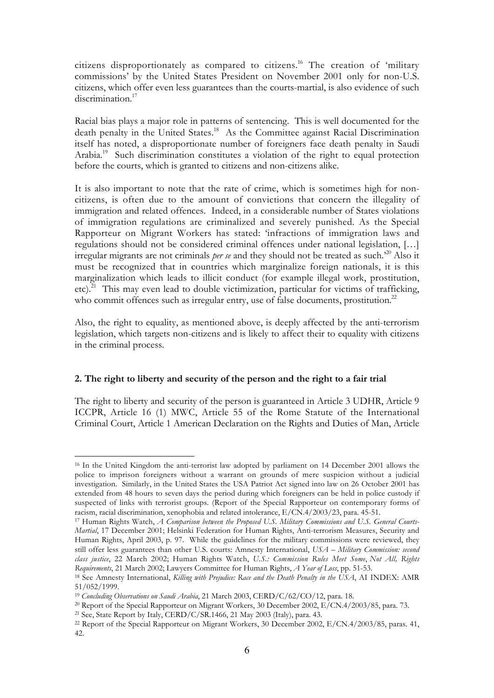citizens disproportionately as compared to citizens.16 The creation of 'military commissions' by the United States President on November 2001 only for non-U.S. citizens, which offer even less guarantees than the courts-martial, is also evidence of such discrimination.<sup>17</sup>

Racial bias plays a major role in patterns of sentencing. This is well documented for the death penalty in the United States.<sup>18</sup> As the Committee against Racial Discrimination itself has noted, a disproportionate number of foreigners face death penalty in Saudi Arabia.<sup>19</sup> Such discrimination constitutes a violation of the right to equal protection before the courts, which is granted to citizens and non-citizens alike.

It is also important to note that the rate of crime, which is sometimes high for noncitizens, is often due to the amount of convictions that concern the illegality of immigration and related offences. Indeed, in a considerable number of States violations of immigration regulations are criminalized and severely punished. As the Special Rapporteur on Migrant Workers has stated: 'infractions of immigration laws and regulations should not be considered criminal offences under national legislation, […] irregular migrants are not criminals *per se* and they should not be treated as such.'20 Also it must be recognized that in countries which marginalize foreign nationals, it is this marginalization which leads to illicit conduct (for example illegal work, prostitution, etc).<sup>21</sup> This may even lead to double victimization, particular for victims of trafficking, who commit offences such as irregular entry, use of false documents, prostitution.<sup>22</sup>

Also, the right to equality, as mentioned above, is deeply affected by the anti-terrorism legislation, which targets non-citizens and is likely to affect their to equality with citizens in the criminal process.

## **2. The right to liberty and security of the person and the right to a fair trial**

The right to liberty and security of the person is guaranteed in Article 3 UDHR, Article 9 ICCPR, Article 16 (1) MWC, Article 55 of the Rome Statute of the International Criminal Court, Article 1 American Declaration on the Rights and Duties of Man, Article

 $\overline{a}$ <sup>16</sup> In the United Kingdom the anti-terrorist law adopted by parliament on 14 December 2001 allows the police to imprison foreigners without a warrant on grounds of mere suspicion without a judicial investigation. Similarly, in the United States the USA Patriot Act signed into law on 26 October 2001 has extended from 48 hours to seven days the period during which foreigners can be held in police custody if suspected of links with terrorist groups. (Report of the Special Rapporteur on contemporary forms of racism, racial discrimination, xenophobia and related intolerance, E/CN.4/2003/23, para. 45-51.

<sup>17</sup> Human Rights Watch, *A Comparison between the Proposed U.S. Military Commissions and U.S. General Courts-Martial*, 17 December 2001; Helsinki Federation for Human Rights, Anti-terrorism Measures, Security and Human Rights, April 2003, p. 97. While the guidelines for the military commissions were reviewed, they still offer less guarantees than other U.S. courts: Amnesty International, *USA – Military Commission: second class justice*, 22 March 2002; Human Rights Watch, *U.S.: Commission Rules Meet Some*, *Not All, Rights Requirements*, 21 March 2002; Lawyers Committee for Human Rights, *A Year of Loss*, pp. 51-53.

<sup>18</sup> See Amnesty International, *Killing with Prejudice: Race and the Death Penalty in the USA*, AI INDEX: AMR 51/052/1999.!!!!

<sup>19</sup> *Concluding Observations on Saudi Arabia*, 21 March 2003, CERD/C/62/CO/12, para. 18.

<sup>20</sup> Report of the Special Rapporteur on Migrant Workers, 30 December 2002, E/CN.4/2003/85, para. 73. <sup>21</sup> See, State Report by Italy, CERD/C/SR.1466, 21 May 2003 (Italy), para. 43.

<sup>22</sup> Report of the Special Rapporteur on Migrant Workers, 30 December 2002, E/CN.4/2003/85, paras. 41, 42.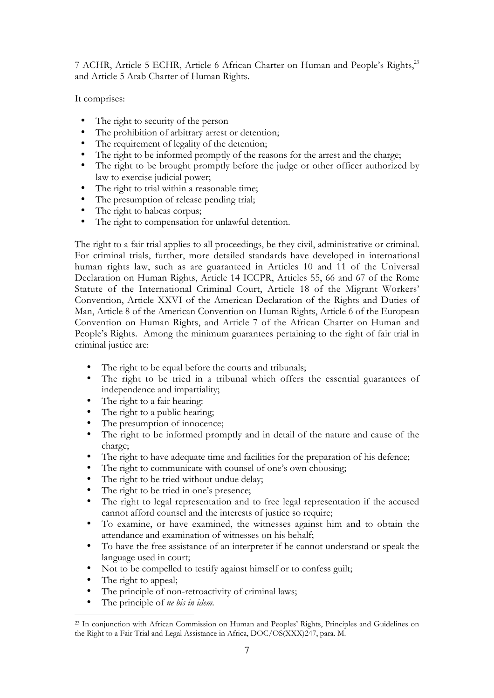7 ACHR, Article 5 ECHR, Article 6 African Charter on Human and People's Rights,<sup>23</sup> and Article 5 Arab Charter of Human Rights.

It comprises:

The right to security of the person The prohibition of arbitrary arrest or detention; The requirement of legality of the detention; The right to be informed promptly of the reasons for the arrest and the charge; The right to be brought promptly before the judge or other officer authorized by law to exercise judicial power; The right to trial within a reasonable time; The presumption of release pending trial; The right to habeas corpus; The right to compensation for unlawful detention.

The right to a fair trial applies to all proceedings, be they civil, administrative or criminal. For criminal trials, further, more detailed standards have developed in international human rights law, such as are guaranteed in Articles 10 and 11 of the Universal Declaration on Human Rights, Article 14 ICCPR, Articles 55, 66 and 67 of the Rome Statute of the International Criminal Court, Article 18 of the Migrant Workers' Convention, Article XXVI of the American Declaration of the Rights and Duties of Man, Article 8 of the American Convention on Human Rights, Article 6 of the European Convention on Human Rights, and Article 7 of the African Charter on Human and People's Rights. Among the minimum guarantees pertaining to the right of fair trial in criminal justice are:

The right to be equal before the courts and tribunals;

The right to be tried in a tribunal which offers the essential guarantees of independence and impartiality;

The right to a fair hearing:

The right to a public hearing;

The presumption of innocence;

The right to be informed promptly and in detail of the nature and cause of the charge;

The right to have adequate time and facilities for the preparation of his defence;

The right to communicate with counsel of one's own choosing;

The right to be tried without undue delay;

The right to be tried in one's presence;

The right to legal representation and to free legal representation if the accused cannot afford counsel and the interests of justice so require;

To examine, or have examined, the witnesses against him and to obtain the attendance and examination of witnesses on his behalf;

To have the free assistance of an interpreter if he cannot understand or speak the language used in court;

Not to be compelled to testify against himself or to confess guilt;

The right to appeal;

 $\overline{a}$ 

The principle of non-retroactivity of criminal laws;

The principle of *ne bis in idem*.

<sup>23</sup> In conjunction with African Commission on Human and Peoples' Rights, Principles and Guidelines on the Right to a Fair Trial and Legal Assistance in Africa, DOC/OS(XXX)247, para. M.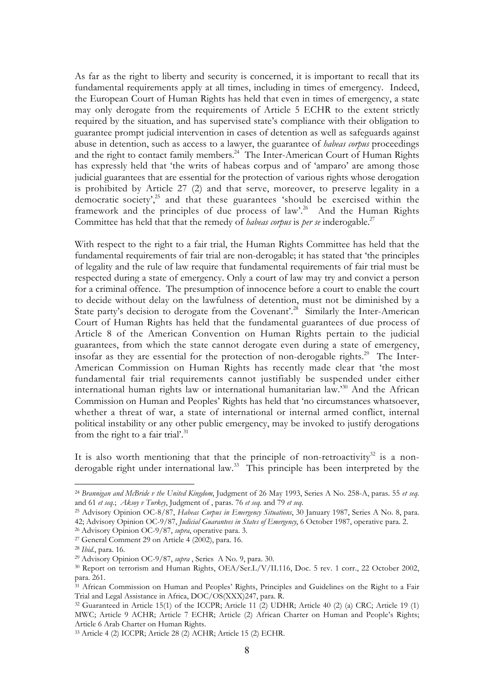As far as the right to liberty and security is concerned, it is important to recall that its fundamental requirements apply at all times, including in times of emergency. Indeed, the European Court of Human Rights has held that even in times of emergency, a state may only derogate from the requirements of Article 5 ECHR to the extent strictly required by the situation, and has supervised state's compliance with their obligation to guarantee prompt judicial intervention in cases of detention as well as safeguards against abuse in detention, such as access to a lawyer, the guarantee of *habeas corpus* proceedings and the right to contact family members.<sup>24</sup> The Inter-American Court of Human Rights has expressly held that 'the writs of habeas corpus and of 'amparo' are among those judicial guarantees that are essential for the protection of various rights whose derogation is prohibited by Article 27 (2) and that serve, moreover, to preserve legality in a democratic society',<sup>25</sup> and that these guarantees 'should be exercised within the framework and the principles of due process of law'.<sup>26</sup> And the Human Rights Committee has held that that the remedy of *habeas corpus* is *per se* inderogable.<sup>27</sup>

With respect to the right to a fair trial, the Human Rights Committee has held that the fundamental requirements of fair trial are non-derogable; it has stated that 'the principles of legality and the rule of law require that fundamental requirements of fair trial must be respected during a state of emergency. Only a court of law may try and convict a person for a criminal offence. The presumption of innocence before a court to enable the court to decide without delay on the lawfulness of detention, must not be diminished by a State party's decision to derogate from the Covenant'.<sup>28</sup> Similarly the Inter-American Court of Human Rights has held that the fundamental guarantees of due process of Article 8 of the American Convention on Human Rights pertain to the judicial guarantees, from which the state cannot derogate even during a state of emergency, insofar as they are essential for the protection of non-derogable rights.<sup>29</sup> The Inter-American Commission on Human Rights has recently made clear that 'the most fundamental fair trial requirements cannot justifiably be suspended under either international human rights law or international humanitarian law.'30 And the African Commission on Human and Peoples' Rights has held that 'no circumstances whatsoever, whether a threat of war, a state of international or internal armed conflict, internal political instability or any other public emergency, may be invoked to justify derogations from the right to a fair trial'.<sup>31</sup>

It is also worth mentioning that that the principle of non-retroactivity $32$  is a nonderogable right under international law.<sup>33</sup> This principle has been interpreted by the

<sup>24</sup> *Brannigan and McBride v the United Kingdom*, Judgment of 26 May 1993, Series A No. 258-A, paras. 55 *et seq.* and 61 *et seq.*; *Aksoy v Turkey*, Judgment of , paras. 76 *et seq.* and 79 *et seq*.

<sup>25</sup> Advisory Opinion OC-8/87, *Habeas Corpus in Emergency Situations*, 30 January 1987, Series A No. 8, para. 42; Advisory Opinion OC-9/87, *Judicial Guarantees in States of Emergency*, 6 October 1987, operative para. 2.

<sup>26</sup> Advisory Opinion OC-9/87, *supra*, operative para. 3.

 $27$  General Comment 29 on Article 4 (2002), para. 16.

<sup>28</sup> *Ibid.*, para. 16.

<sup>29</sup> Advisory Opinion OC-9/87, *supra* , Series A No. 9, para. 30.

<sup>30</sup> Report on terrorism and Human Rights, OEA/Ser.L/V/II.116, Doc. 5 rev. 1 corr., 22 October 2002, para. 261.

<sup>&</sup>lt;sup>31</sup> African Commission on Human and Peoples' Rights, Principles and Guidelines on the Right to a Fair Trial and Legal Assistance in Africa, DOC/OS(XXX)247, para. R.

<sup>32</sup> Guaranteed in Article 15(1) of the ICCPR; Article 11 (2) UDHR; Article 40 (2) (a) CRC; Article 19 (1) MWC; Article 9 ACHR; Article 7 ECHR; Article (2) African Charter on Human and People's Rights; Article 6 Arab Charter on Human Rights.

<sup>33</sup> Article 4 (2) ICCPR; Article 28 (2) ACHR; Article 15 (2) ECHR.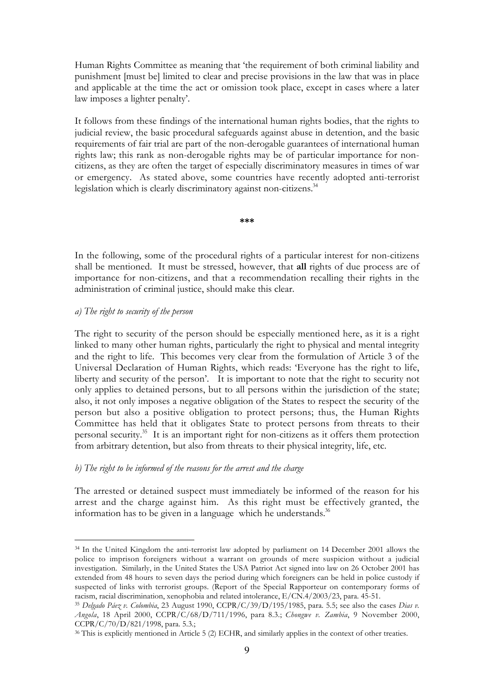Human Rights Committee as meaning that 'the requirement of both criminal liability and punishment [must be] limited to clear and precise provisions in the law that was in place and applicable at the time the act or omission took place, except in cases where a later law imposes a lighter penalty'.

It follows from these findings of the international human rights bodies, that the rights to judicial review, the basic procedural safeguards against abuse in detention, and the basic requirements of fair trial are part of the non-derogable guarantees of international human rights law; this rank as non-derogable rights may be of particular importance for noncitizens, as they are often the target of especially discriminatory measures in times of war or emergency. As stated above, some countries have recently adopted anti-terrorist legislation which is clearly discriminatory against non-citizens.<sup>34</sup>

**\*\*\***

In the following, some of the procedural rights of a particular interest for non-citizens shall be mentioned. It must be stressed, however, that **all** rights of due process are of importance for non-citizens, and that a recommendation recalling their rights in the administration of criminal justice, should make this clear.

#### *a) The right to security of the person*

 $\overline{a}$ 

The right to security of the person should be especially mentioned here, as it is a right linked to many other human rights, particularly the right to physical and mental integrity and the right to life. This becomes very clear from the formulation of Article 3 of the Universal Declaration of Human Rights, which reads: 'Everyone has the right to life, liberty and security of the person'. It is important to note that the right to security not only applies to detained persons, but to all persons within the jurisdiction of the state; also, it not only imposes a negative obligation of the States to respect the security of the person but also a positive obligation to protect persons; thus, the Human Rights Committee has held that it obligates State to protect persons from threats to their personal security.35 It is an important right for non-citizens as it offers them protection from arbitrary detention, but also from threats to their physical integrity, life, etc.

## *b) The right to be informed of the reasons for the arrest and the charge*

The arrested or detained suspect must immediately be informed of the reason for his arrest and the charge against him. As this right must be effectively granted, the information has to be given in a language which he understands. $36$ 

<sup>&</sup>lt;sup>34</sup> In the United Kingdom the anti-terrorist law adopted by parliament on 14 December 2001 allows the police to imprison foreigners without a warrant on grounds of mere suspicion without a judicial investigation. Similarly, in the United States the USA Patriot Act signed into law on 26 October 2001 has extended from 48 hours to seven days the period during which foreigners can be held in police custody if suspected of links with terrorist groups. (Report of the Special Rapporteur on contemporary forms of racism, racial discrimination, xenophobia and related intolerance, E/CN.4/2003/23, para. 45-51.

<sup>35</sup> *Delgado Páez v. Colombia*, 23 August 1990, CCPR/C/39/D/195/1985, para. 5.5; see also the cases *Dias v. Angola*, 18 April 2000, CCPR/C/68/D/711/1996, para 8.3.; *Chongwe v. Zambia*, 9 November 2000, CCPR/C/70/D/821/1998, para. 5.3.;

<sup>36</sup> This is explicitly mentioned in Article 5 (2) ECHR, and similarly applies in the context of other treaties.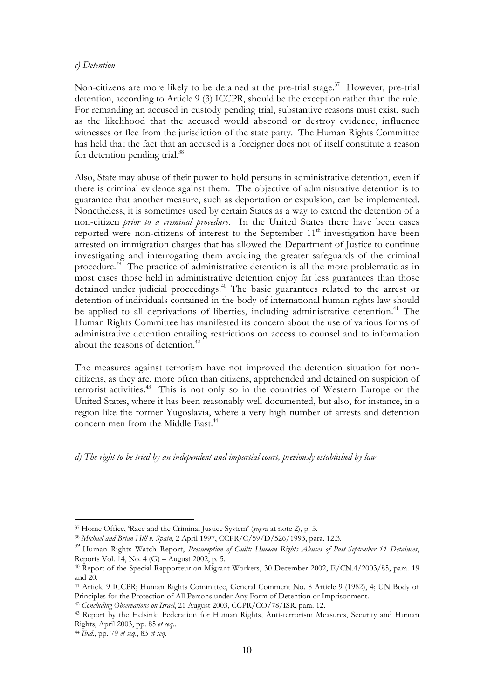#### *c) Detention*

Non-citizens are more likely to be detained at the pre-trial stage.<sup>37</sup> However, pre-trial detention, according to Article 9 (3) ICCPR, should be the exception rather than the rule. For remanding an accused in custody pending trial, substantive reasons must exist, such as the likelihood that the accused would abscond or destroy evidence, influence witnesses or flee from the jurisdiction of the state party. The Human Rights Committee has held that the fact that an accused is a foreigner does not of itself constitute a reason for detention pending trial.<sup>38</sup>

Also, State may abuse of their power to hold persons in administrative detention, even if there is criminal evidence against them. The objective of administrative detention is to guarantee that another measure, such as deportation or expulsion, can be implemented. Nonetheless, it is sometimes used by certain States as a way to extend the detention of a non-citizen *prior to a criminal procedure*. In the United States there have been cases reported were non-citizens of interest to the September 11<sup>th</sup> investigation have been arrested on immigration charges that has allowed the Department of Justice to continue investigating and interrogating them avoiding the greater safeguards of the criminal procedure.<sup>39</sup> The practice of administrative detention is all the more problematic as in most cases those held in administrative detention enjoy far less guarantees than those detained under judicial proceedings.40 The basic guarantees related to the arrest or detention of individuals contained in the body of international human rights law should be applied to all deprivations of liberties, including administrative detention.<sup>41</sup> The Human Rights Committee has manifested its concern about the use of various forms of administrative detention entailing restrictions on access to counsel and to information about the reasons of detention.<sup>42</sup>

The measures against terrorism have not improved the detention situation for noncitizens, as they are, more often than citizens, apprehended and detained on suspicion of terrorist activities.<sup>43</sup> This is not only so in the countries of Western Europe or the United States, where it has been reasonably well documented, but also, for instance, in a region like the former Yugoslavia, where a very high number of arrests and detention concern men from the Middle East.<sup>44</sup>

*d) The right to be tried by an independent and impartial court, previously established by law*

<sup>37</sup> Home Office, 'Race and the Criminal Justice System' (*supra* at note 2), p. 5.

<sup>38</sup> *Michael and Brian Hill v. Spain*, 2 April 1997, CCPR/C/59/D/526/1993, para. 12.3.

<sup>39</sup> Human Rights Watch Report, *Presumption of Guilt: Human Rights Abuses of Post-September 11 Detainees*, Reports Vol. 14, No. 4 (G) – August 2002, p. 5.

<sup>40</sup> Report of the Special Rapporteur on Migrant Workers, 30 December 2002, E/CN.4/2003/85, para. 19 and 20.

<sup>41</sup> Article 9 ICCPR; Human Rights Committee, General Comment No. 8 Article 9 (1982), 4; UN Body of Principles for the Protection of All Persons under Any Form of Detention or Imprisonment.

<sup>42</sup> *Concluding Observations on Israel*, 21 August 2003, CCPR/CO/78/ISR, para. 12.

<sup>43</sup> Report by the Helsinki Federation for Human Rights, Anti-terrorism Measures, Security and Human Rights, April 2003, pp. 85 *et seq*..

<sup>44</sup> *Ibid.*, pp. 79 *et seq*., 83 *et seq*.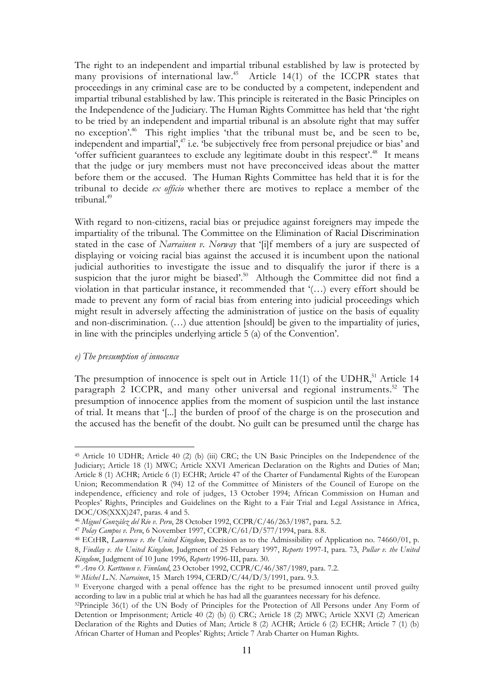The right to an independent and impartial tribunal established by law is protected by many provisions of international law.45 Article 14(1) of the ICCPR states that proceedings in any criminal case are to be conducted by a competent, independent and impartial tribunal established by law. This principle is reiterated in the Basic Principles on the Independence of the Judiciary. The Human Rights Committee has held that 'the right to be tried by an independent and impartial tribunal is an absolute right that may suffer no exception'.46 This right implies 'that the tribunal must be, and be seen to be, independent and impartial',<sup>47</sup> i.e. 'be subjectively free from personal prejudice or bias' and 'offer sufficient guarantees to exclude any legitimate doubt in this respect'.<sup>48</sup> It means that the judge or jury members must not have preconceived ideas about the matter before them or the accused. The Human Rights Committee has held that it is for the tribunal to decide *ex officio* whether there are motives to replace a member of the tribunal.<sup>49</sup>

With regard to non-citizens, racial bias or prejudice against foreigners may impede the impartiality of the tribunal. The Committee on the Elimination of Racial Discrimination stated in the case of *Narrainen v. Norway* that '[i]f members of a jury are suspected of displaying or voicing racial bias against the accused it is incumbent upon the national judicial authorities to investigate the issue and to disqualify the juror if there is a suspicion that the juror might be biased'.<sup>50</sup> Although the Committee did not find a violation in that particular instance, it recommended that '(…) every effort should be made to prevent any form of racial bias from entering into judicial proceedings which might result in adversely affecting the administration of justice on the basis of equality and non-discrimination. (…) due attention [should] be given to the impartiality of juries, in line with the principles underlying article 5 (a) of the Convention'.

#### *e) The presumption of innocence*

The presumption of innocence is spelt out in Article  $11(1)$  of the UDHR,<sup>51</sup> Article 14 paragraph 2 ICCPR, and many other universal and regional instruments.<sup>52</sup> The presumption of innocence applies from the moment of suspicion until the last instance of trial. It means that '[*...*] the burden of proof of the charge is on the prosecution and the accused has the benefit of the doubt. No guilt can be presumed until the charge has

 $\overline{a}$ <sup>45</sup> Article 10 UDHR; Article 40 (2) (b) (iii) CRC; the UN Basic Principles on the Independence of the Judiciary; Article 18 (1) MWC; Article XXVI American Declaration on the Rights and Duties of Man; Article 8 (1) ACHR; Article 6 (1) ECHR; Article 47 of the Charter of Fundamental Rights of the European Union; Recommendation R (94) 12 of the Committee of Ministers of the Council of Europe on the independence, efficiency and role of judges, 13 October 1994; African Commission on Human and Peoples' Rights, Principles and Guidelines on the Right to a Fair Trial and Legal Assistance in Africa, DOC/OS(XXX)247, paras. 4 and 5.

<sup>46</sup> *Miguel González del Río v. Peru*, 28 October 1992, CCPR/C/46/263/1987, para. 5.2.

<sup>47</sup> *Polay Campos v. Peru*, 6 November 1997, CCPR/C/61/D/577/1994, para. 8.8.

<sup>48</sup> ECtHR, *Lawrence v. the United Kingdom*, Decision as to the Admissibility of Application no. 74660/01, p. 8, *Findlay v. the United Kingdom,* Judgment of 25 February 1997, *Reports* 1997-I, para. 73, *Pullar v. the United Kingdom*, Judgment of 10 June 1996, *Reports* 1996-III, para. 30.

<sup>49</sup> *Arvo O. Karttunen v. Finnland*, 23 October 1992, CCPR/C/46/387/1989, para. 7.2.

<sup>50</sup> *Michel L.N. Narrainen*, 15 March 1994, CERD/C/44/D/3/1991, para. 9.3.

<sup>&</sup>lt;sup>51</sup> Everyone charged with a penal offence has the right to be presumed innocent until proved guilty according to law in a public trial at which he has had all the guarantees necessary for his defence.

<sup>52</sup>Principle 36(1) of the UN Body of Principles for the Protection of All Persons under Any Form of Detention or Imprisonment; Article 40 (2) (b) (i) CRC; Article 18 (2) MWC; Article XXVI (2) American Declaration of the Rights and Duties of Man; Article 8 (2) ACHR; Article 6 (2) ECHR; Article 7 (1) (b) African Charter of Human and Peoples' Rights; Article 7 Arab Charter on Human Rights.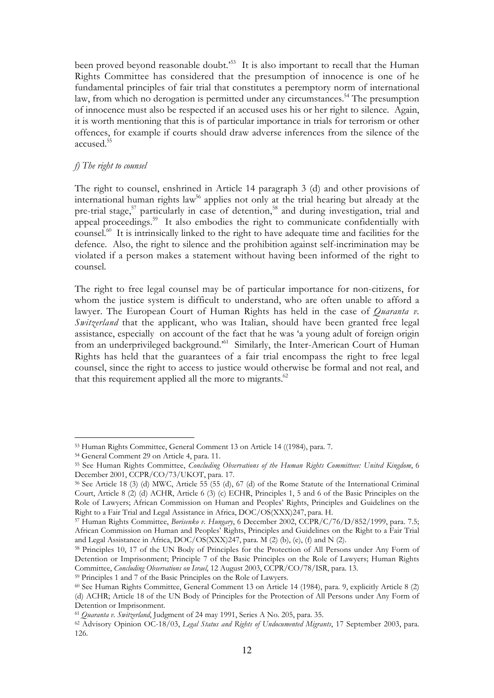been proved beyond reasonable doubt.<sup>553</sup> It is also important to recall that the Human Rights Committee has considered that the presumption of innocence is one of he fundamental principles of fair trial that constitutes a peremptory norm of international law, from which no derogation is permitted under any circumstances.<sup>54</sup> The presumption of innocence must also be respected if an accused uses his or her right to silence. Again, it is worth mentioning that this is of particular importance in trials for terrorism or other offences, for example if courts should draw adverse inferences from the silence of the accused.55

## *f) The right to counsel*

The right to counsel, enshrined in Article 14 paragraph 3 (d) and other provisions of international human rights law<sup>56</sup> applies not only at the trial hearing but already at the pre-trial stage,<sup>57</sup> particularly in case of detention,<sup>58</sup> and during investigation, trial and appeal proceedings.<sup>59</sup> It also embodies the right to communicate confidentially with counsel.<sup>60</sup> It is intrinsically linked to the right to have adequate time and facilities for the defence. Also, the right to silence and the prohibition against self-incrimination may be violated if a person makes a statement without having been informed of the right to counsel.

The right to free legal counsel may be of particular importance for non-citizens, for whom the justice system is difficult to understand, who are often unable to afford a lawyer. The European Court of Human Rights has held in the case of *Quaranta v. Switzerland* that the applicant, who was Italian, should have been granted free legal assistance, especially on account of the fact that he was 'a young adult of foreign origin from an underprivileged background.<sup>561</sup> Similarly, the Inter-American Court of Human Rights has held that the guarantees of a fair trial encompass the right to free legal counsel, since the right to access to justice would otherwise be formal and not real, and that this requirement applied all the more to migrants.<sup>62</sup>

59 Principles 1 and 7 of the Basic Principles on the Role of Lawyers.

 $\overline{a}$ 53 Human Rights Committee, General Comment 13 on Article 14 ((1984), para. 7.

<sup>54</sup> General Comment 29 on Article 4, para. 11.

<sup>55</sup> See Human Rights Committee, *Concluding Observations of the Human Rights Committeee: United Kingdom*, 6 December 2001, CCPR/CO/73/UKOT, para. 17.

<sup>56</sup> See Article 18 (3) (d) MWC, Article 55 (55 (d), 67 (d) of the Rome Statute of the International Criminal Court, Article 8 (2) (d) ACHR, Article 6 (3) (c) ECHR, Principles 1, 5 and 6 of the Basic Principles on the Role of Lawyers; African Commission on Human and Peoples' Rights, Principles and Guidelines on the Right to a Fair Trial and Legal Assistance in Africa, DOC/OS(XXX)247, para. H.

<sup>57</sup> Human Rights Committee, *Borisenko v. Hungary*, 6 December 2002, CCPR/C/76/D/852/1999, para. 7.5; African Commission on Human and Peoples' Rights, Principles and Guidelines on the Right to a Fair Trial and Legal Assistance in Africa, DOC/OS(XXX)247, para. M (2) (b), (e), (f) and N (2).

<sup>58</sup> Principles 10, 17 of the UN Body of Principles for the Protection of All Persons under Any Form of Detention or Imprisonment; Principle 7 of the Basic Principles on the Role of Lawyers; Human Rights Committee, *Concluding Observations on Israel*, 12 August 2003, CCPR/CO/78/ISR, para. 13.

<sup>60</sup> See Human Rights Committee, General Comment 13 on Article 14 (1984), para. 9, explicitly Article 8 (2) (d) ACHR; Article 18 of the UN Body of Principles for the Protection of All Persons under Any Form of Detention or Imprisonment.

<sup>61</sup> *Quaranta v. Switzerland*, Judgment of 24 may 1991, Series A No. 205, para. 35.

<sup>62</sup> Advisory Opinion OC-18/03, *Legal Status and Rights of Undocumented Migrants*, 17 September 2003, para. 126.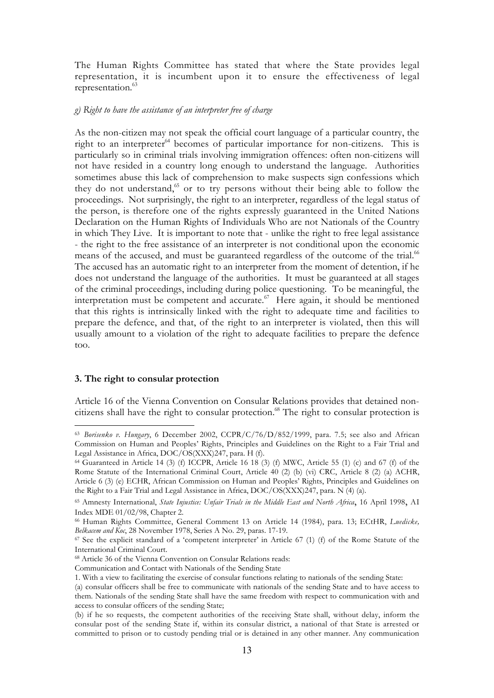The Human Rights Committee has stated that where the State provides legal representation, it is incumbent upon it to ensure the effectiveness of legal representation.<sup>63</sup>

## *g) Right to have the assistance of an interpreter free of charge*

As the non-citizen may not speak the official court language of a particular country, the right to an interpreter $^{64}$  becomes of particular importance for non-citizens. This is particularly so in criminal trials involving immigration offences: often non-citizens will not have resided in a country long enough to understand the language. Authorities sometimes abuse this lack of comprehension to make suspects sign confessions which they do not understand, $65$  or to try persons without their being able to follow the proceedings. Not surprisingly, the right to an interpreter, regardless of the legal status of the person, is therefore one of the rights expressly guaranteed in the United Nations Declaration on the Human Rights of Individuals Who are not Nationals of the Country in which They Live. It is important to note that - unlike the right to free legal assistance - the right to the free assistance of an interpreter is not conditional upon the economic means of the accused, and must be guaranteed regardless of the outcome of the trial.<sup>66</sup> The accused has an automatic right to an interpreter from the moment of detention, if he does not understand the language of the authorities. It must be guaranteed at all stages of the criminal proceedings, including during police questioning. To be meaningful, the interpretation must be competent and accurate. $67$  Here again, it should be mentioned that this rights is intrinsically linked with the right to adequate time and facilities to prepare the defence, and that, of the right to an interpreter is violated, then this will usually amount to a violation of the right to adequate facilities to prepare the defence too.

#### **3. The right to consular protection**

 $\overline{a}$ 

Article 16 of the Vienna Convention on Consular Relations provides that detained noncitizens shall have the right to consular protection.<sup>68</sup> The right to consular protection is

<sup>63</sup> *Borisenko v. Hungary*, 6 December 2002, CCPR/C/76/D/852/1999, para. 7.5; see also and African Commission on Human and Peoples' Rights, Principles and Guidelines on the Right to a Fair Trial and Legal Assistance in Africa, DOC/OS(XXX)247, para. H (f).

 $64$  Guaranteed in Article 14 (3) (f) ICCPR, Article 16 18 (3) (f) MWC, Article 55 (1) (c) and 67 (f) of the Rome Statute of the International Criminal Court, Article 40 (2) (b) (vi) CRC, Article 8 (2) (a) ACHR, Article 6 (3) (e) ECHR, African Commission on Human and Peoples' Rights, Principles and Guidelines on the Right to a Fair Trial and Legal Assistance in Africa, DOC/OS(XXX)247, para. N (4) (a).

<sup>65</sup> Amnesty International, *State Injustice: Unfair Trials in the Middle East and North Africa*, 16 April 1998, AI Index MDE 01/02/98, Chapter 2.

<sup>66</sup> Human Rights Committee, General Comment 13 on Article 14 (1984), para. 13; ECtHR, *Luedicke, Belkacem and Koc*, 28 November 1978, Series A No. 29, paras. 17-19.

<sup>67</sup> See the explicit standard of a 'competent interpreter' in Article 67 (1) (f) of the Rome Statute of the International Criminal Court.

<sup>68</sup> Article 36 of the Vienna Convention on Consular Relations reads:

Communication and Contact with Nationals of the Sending State

<sup>1.</sup> With a view to facilitating the exercise of consular functions relating to nationals of the sending State:

<sup>(</sup>a) consular officers shall be free to communicate with nationals of the sending State and to have access to them. Nationals of the sending State shall have the same freedom with respect to communication with and access to consular officers of the sending State;

<sup>(</sup>b) if he so requests, the competent authorities of the receiving State shall, without delay, inform the consular post of the sending State if, within its consular district, a national of that State is arrested or committed to prison or to custody pending trial or is detained in any other manner. Any communication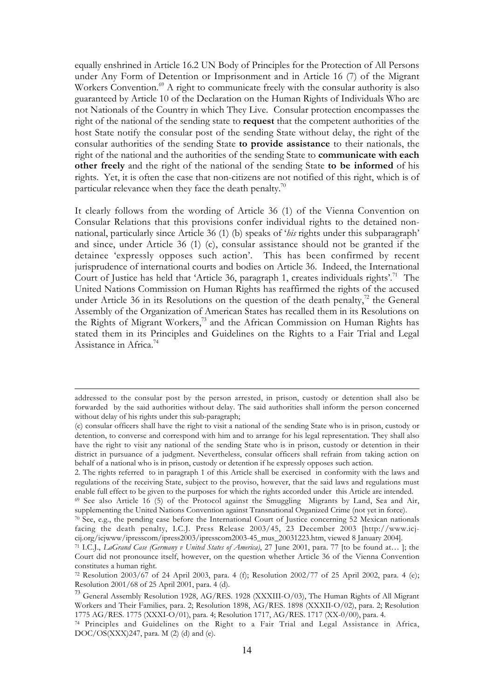equally enshrined in Article 16.2 UN Body of Principles for the Protection of All Persons under Any Form of Detention or Imprisonment and in Article 16 (7) of the Migrant Workers Convention.<sup>69</sup> A right to communicate freely with the consular authority is also guaranteed by Article 10 of the Declaration on the Human Rights of Individuals Who are not Nationals of the Country in which They Live. Consular protection encompasses the right of the national of the sending state to **request** that the competent authorities of the host State notify the consular post of the sending State without delay, the right of the consular authorities of the sending State **to provide assistance** to their nationals, the right of the national and the authorities of the sending State to **communicate with each other freely** and the right of the national of the sending State **to be informed** of his rights. Yet, it is often the case that non-citizens are not notified of this right, which is of particular relevance when they face the death penalty.<sup>70</sup>

It clearly follows from the wording of Article 36 (1) of the Vienna Convention on Consular Relations that this provisions confer individual rights to the detained nonnational, particularly since Article 36 (1) (b) speaks of '*his* rights under this subparagraph' and since, under Article 36 (1) (c), consular assistance should not be granted if the detainee 'expressly opposes such action'. This has been confirmed by recent jurisprudence of international courts and bodies on Article 36. Indeed, the International Court of Justice has held that 'Article 36, paragraph 1, creates individuals rights'.<sup>71</sup> The United Nations Commission on Human Rights has reaffirmed the rights of the accused under Article 36 in its Resolutions on the question of the death penalty, $^{72}$  the General Assembly of the Organization of American States has recalled them in its Resolutions on the Rights of Migrant Workers,<sup>73</sup> and the African Commission on Human Rights has stated them in its Principles and Guidelines on the Rights to a Fair Trial and Legal Assistance in Africa.74

addressed to the consular post by the person arrested, in prison, custody or detention shall also be forwarded by the said authorities without delay. The said authorities shall inform the person concerned without delay of his rights under this sub-paragraph;

<sup>(</sup>c) consular officers shall have the right to visit a national of the sending State who is in prison, custody or detention, to converse and correspond with him and to arrange for his legal representation. They shall also have the right to visit any national of the sending State who is in prison, custody or detention in their district in pursuance of a judgment. Nevertheless, consular officers shall refrain from taking action on behalf of a national who is in prison, custody or detention if he expressly opposes such action.

<sup>2.</sup> The rights referred to in paragraph 1 of this Article shall be exercised in conformity with the laws and regulations of the receiving State, subject to the proviso, however, that the said laws and regulations must enable full effect to be given to the purposes for which the rights accorded under this Article are intended.

<sup>69</sup> See also Article 16 (5) of the Protocol against the Smuggling Migrants by Land, Sea and Air, supplementing the United Nations Convention against Transnational Organized Crime (not yet in force).

 $70$  See, e.g., the pending case before the International Court of Justice concerning 52 Mexican nationals facing the death penalty, I.C.J. Press Release 2003/45, 23 December 2003 [http://www.icjcij.org/icjwww/ipresscom/ipress2003/ipresscom2003-45\_mus\_20031223.htm, viewed 8 January 2004].

<sup>71</sup> I.C.J., *LaGrand Case (Germany v United States of America)*, 27 June 2001, para. 77 [to be found at… ]; the Court did not pronounce itself, however, on the question whether Article 36 of the Vienna Convention constitutes a human right.

<sup>72</sup> Resolution 2003/67 of 24 April 2003, para. 4 (f); Resolution 2002/77 of 25 April 2002, para. 4 (e); Resolution 2001/68 of 25 April 2001, para. 4 (d).

<sup>73</sup> General Assembly Resolution 1928, AG/RES. 1928 (XXXIII-O/03), The Human Rights of All Migrant Workers and Their Families, para. 2; Resolution 1898, AG/RES. 1898 (XXXII-O/02), para. 2; Resolution 1775 AG/RES. 1775 (XXXI-O/01), para. 4; Resolution 1717, AG/RES. 1717 (XX-0/00), para. 4.

<sup>74</sup> Principles and Guidelines on the Right to a Fair Trial and Legal Assistance in Africa, DOC/OS(XXX)247, para. M (2) (d) and (e).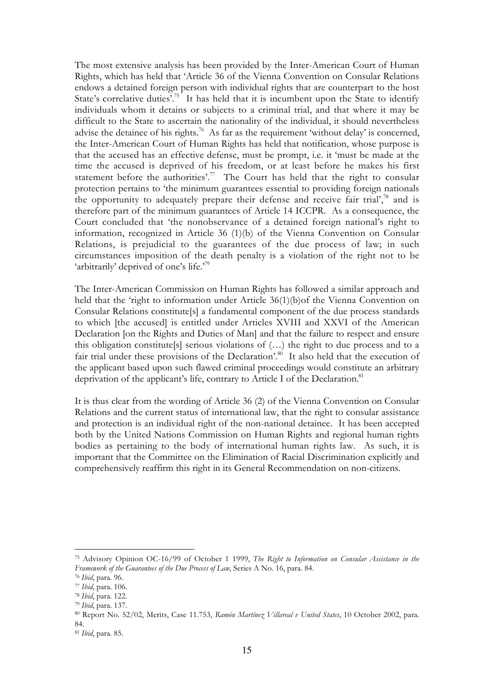The most extensive analysis has been provided by the Inter-American Court of Human Rights, which has held that 'Article 36 of the Vienna Convention on Consular Relations endows a detained foreign person with individual rights that are counterpart to the host State's correlative duties'.<sup>75</sup> It has held that it is incumbent upon the State to identify individuals whom it detains or subjects to a criminal trial, and that where it may be difficult to the State to ascertain the nationality of the individual, it should nevertheless advise the detainee of his rights.<sup>76</sup> As far as the requirement 'without delay' is concerned, the Inter-American Court of Human Rights has held that notification, whose purpose is that the accused has an effective defense, must be prompt, i.e. it 'must be made at the time the accused is deprived of his freedom, or at least before he makes his first statement before the authorities'.<sup>77</sup> The Court has held that the right to consular protection pertains to 'the minimum guarantees essential to providing foreign nationals the opportunity to adequately prepare their defense and receive fair trial', $\frac{78}{3}$  and is therefore part of the minimum guarantees of Article 14 ICCPR. As a consequence, the Court concluded that 'the nonobservance of a detained foreign national's right to information, recognized in Article 36 (1)(b) of the Vienna Convention on Consular Relations, is prejudicial to the guarantees of the due process of law; in such circumstances imposition of the death penalty is a violation of the right not to be 'arbitrarily' deprived of one's life.'79

The Inter-American Commission on Human Rights has followed a similar approach and held that the 'right to information under Article 36(1)(b)of the Vienna Convention on Consular Relations constitute[s] a fundamental component of the due process standards to which [the accused] is entitled under Articles XVIII and XXVI of the American Declaration [on the Rights and Duties of Man] and that the failure to respect and ensure this obligation constitute[s] serious violations of (…) the right to due process and to a fair trial under these provisions of the Declaration'.<sup>80</sup> It also held that the execution of the applicant based upon such flawed criminal proceedings would constitute an arbitrary deprivation of the applicant's life, contrary to Article I of the Declaration.<sup>81</sup>

It is thus clear from the wording of Article 36 (2) of the Vienna Convention on Consular Relations and the current status of international law, that the right to consular assistance and protection is an individual right of the non-national detainee. It has been accepted both by the United Nations Commission on Human Rights and regional human rights bodies as pertaining to the body of international human rights law. As such, it is important that the Committee on the Elimination of Racial Discrimination explicitly and comprehensively reaffirm this right in its General Recommendation on non-citizens.

<sup>75</sup> Advisory Opinion OC-16/99 of October 1 1999, *The Right to Information on Consular Assistance in the Framework of the Guarantees of the Due Process of Law*, Series A No. 16, para. 84.

<sup>76</sup> *Ibid*, para. 96.

<sup>77</sup> *Ibid*, para. 106.

<sup>78</sup> *Ibid*, para. 122.

<sup>79</sup> *Ibid*, para. 137.

<sup>80</sup> Report No. 52/02, Merits, Case 11.753, *Ramón Martínez Villareal v United States*, 10 October 2002, para. 84.

<sup>81</sup> *Ibid*, para. 85.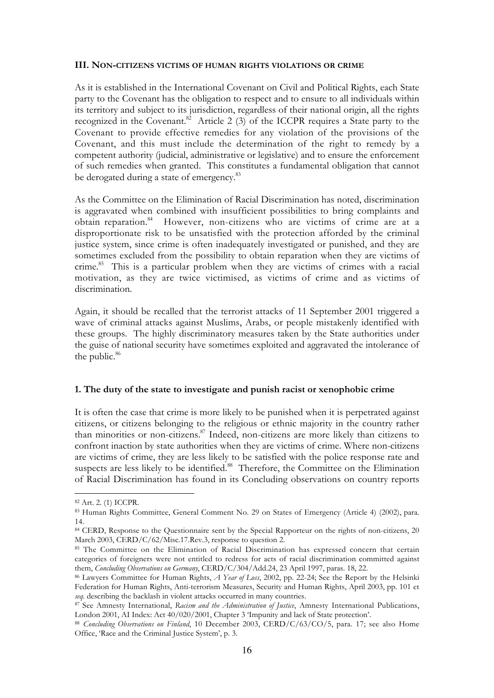#### **III. NON-CITIZENS VICTIMS OF HUMAN RIGHTS VIOLATIONS OR CRIME**

As it is established in the International Covenant on Civil and Political Rights, each State party to the Covenant has the obligation to respect and to ensure to all individuals within its territory and subject to its jurisdiction, regardless of their national origin, all the rights recognized in the Covenant.<sup>82</sup> Article 2 (3) of the ICCPR requires a State party to the Covenant to provide effective remedies for any violation of the provisions of the Covenant, and this must include the determination of the right to remedy by a competent authority (judicial, administrative or legislative) and to ensure the enforcement of such remedies when granted. This constitutes a fundamental obligation that cannot be derogated during a state of emergency.<sup>83</sup>

As the Committee on the Elimination of Racial Discrimination has noted, discrimination is aggravated when combined with insufficient possibilities to bring complaints and obtain reparation.<sup>84</sup> However, non-citizens who are victims of crime are at a disproportionate risk to be unsatisfied with the protection afforded by the criminal justice system, since crime is often inadequately investigated or punished, and they are sometimes excluded from the possibility to obtain reparation when they are victims of crime.85 This is a particular problem when they are victims of crimes with a racial motivation, as they are twice victimised, as victims of crime and as victims of discrimination.

Again, it should be recalled that the terrorist attacks of 11 September 2001 triggered a wave of criminal attacks against Muslims, Arabs, or people mistakenly identified with these groups. The highly discriminatory measures taken by the State authorities under the guise of national security have sometimes exploited and aggravated the intolerance of the public.<sup>86</sup>

## **1. The duty of the state to investigate and punish racist or xenophobic crime**

It is often the case that crime is more likely to be punished when it is perpetrated against citizens, or citizens belonging to the religious or ethnic majority in the country rather than minorities or non-citizens.87 Indeed, non-citizens are more likely than citizens to confront inaction by state authorities when they are victims of crime. Where non-citizens are victims of crime, they are less likely to be satisfied with the police response rate and suspects are less likely to be identified.<sup>88</sup> Therefore, the Committee on the Elimination of Racial Discrimination has found in its Concluding observations on country reports

 $\overline{a}$ 82 Art. 2. (1) ICCPR.

<sup>83</sup> Human Rights Committee, General Comment No. 29 on States of Emergency (Article 4) (2002), para. 14.

<sup>&</sup>lt;sup>84</sup> CERD, Response to the Questionnaire sent by the Special Rapporteur on the rights of non-citizens, 20 March 2003, CERD/C/62/Misc.17.Rev.3, response to question 2.

<sup>85</sup> The Committee on the Elimination of Racial Discrimination has expressed concern that certain categories of foreigners were not entitled to redress for acts of racial discrimination committed against them, *Concluding Observations on Germany*, CERD/C/304/Add.24, 23 April 1997, paras. 18, 22.

<sup>86</sup> Lawyers Committee for Human Rights, *A Year of Loss*, 2002, pp. 22-24; See the Report by the Helsinki Federation for Human Rights, Anti-terrorism Measures, Security and Human Rights, April 2003, pp. 101 et *seq.* describing the backlash in violent attacks occurred in many countries.

<sup>87</sup> See Amnesty International, *Racism and the Administration of Justice*, Amnesty International Publications, London 2001, AI Index: Act 40/020/2001, Chapter 3 'Impunity and lack of State protection'.

<sup>88</sup> *Concluding Observations on Finland*, 10 December 2003, CERD/C/63/CO/5, para. 17; see also Home Office, 'Race and the Criminal Justice System', p. 3.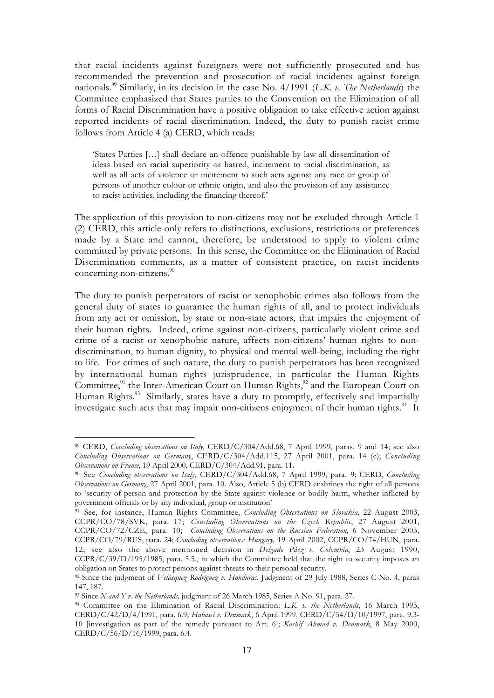that racial incidents against foreigners were not sufficiently prosecuted and has recommended the prevention and prosecution of racial incidents against foreign nationals.89 Similarly, in its decision in the case No. 4/1991 (*L.K. v. The Netherlands*) the Committee emphasized that States parties to the Convention on the Elimination of all forms of Racial Discrimination have a positive obligation to take effective action against reported incidents of racial discrimination. Indeed, the duty to punish racist crime follows from Article 4 (a) CERD, which reads:

'States Parties […] shall declare an offence punishable by law all dissemination of ideas based on racial superiority or hatred, incitement to racial discrimination, as well as all acts of violence or incitement to such acts against any race or group of persons of another colour or ethnic origin, and also the provision of any assistance to racist activities, including the financing thereof.'

The application of this provision to non-citizens may not be excluded through Article 1 (2) CERD, this article only refers to distinctions, exclusions, restrictions or preferences made by a State and cannot, therefore, be understood to apply to violent crime committed by private persons. In this sense, the Committee on the Elimination of Racial Discrimination comments, as a matter of consistent practice, on racist incidents concerning non-citizens.<sup>90</sup>

The duty to punish perpetrators of racist or xenophobic crimes also follows from the general duty of states to guarantee the human rights of all, and to protect individuals from any act or omission, by state or non-state actors, that impairs the enjoyment of their human rights. Indeed, crime against non-citizens, particularly violent crime and crime of a racist or xenophobic nature, affects non-citizens' human rights to nondiscrimination, to human dignity, to physical and mental well-being, including the right to life. For crimes of such nature, the duty to punish perpetrators has been recognized by international human rights jurisprudence, in particular the Human Rights Committee,<sup>91</sup> the Inter-American Court on Human Rights,<sup>92</sup> and the European Court on Human Rights.<sup>93</sup> Similarly, states have a duty to promptly, effectively and impartially investigate such acts that may impair non-citizens enjoyment of their human rights. $^{94}$  It

 $\overline{a}$ <sup>89</sup> CERD, *Concluding observations on Italy*, CERD/C/304/Add.68, 7 April 1999, paras. 9 and 14; see also *Concluding Observations on Germany*, CERD/C/304/Add.115, 27 April 2001, para. 14 (c); *Concluding Observations on France*, 19 April 2000, CERD/C/304/Add.91, para. 11.

<sup>90</sup> See *Concluding observations on Italy*, CERD/C/304/Add.68, 7 April 1999, para. 9; CERD, *Concluding Observations on Germany*, 27 April 2001, para. 10. Also, Article 5 (b) CERD enshrines the right of all persons to 'security of person and protection by the State against violence or bodily harm, whether inflicted by government officials or by any individual, group or institution'

<sup>91</sup> See, for instance, Human Rights Committee, *Concluding Observations on Slovakia*, 22 August 2003, CCPR/CO/78/SVK, para. 17; *Concluding Observations on the Czech Republic*, 27 August 2001, CCPR/CO/72/CZE, para. 10; *Concluding Observations on the Russian Federation*, 6 November 2003, CCPR/CO/79/RUS, para. 24; *Concluding observations: Hungary,* 19 April 2002, CCPR/CO/74/HUN, para. 12; see also the above mentioned decision in *Delgado Páez v. Colombia*, 23 August 1990, CCPR/C/39/D/195/1985, para. 5.5., in which the Committee held that the right to security imposes an obligation on States to protect persons against threats to their personal security.

<sup>92</sup> Since the judgment of *Velásquez Rodríguez v. Honduras*, Judgment of 29 July 1988, Series C No. 4, paras 147, 187.

<sup>93</sup> Since *X and Y v. the Netherlands,* judgment of 26 March 1985, Series A No. 91, para. 27.

<sup>94</sup> Committee on the Elimination of Racial Discrimination: *L.K. v. the Netherlands*, 16 March 1993, CERD/C/42/D/4/1991, para. 6.9; *Habassi v. Denmark*, 6 April 1999, CERD/C/54/D/10/1997, para. 9.3- 10 [investigation as part of the remedy pursuant to Art. 6]; *Kashif Ahmad v. Denmark*, 8 May 2000, CERD/C/56/D/16/1999, para. 6.4.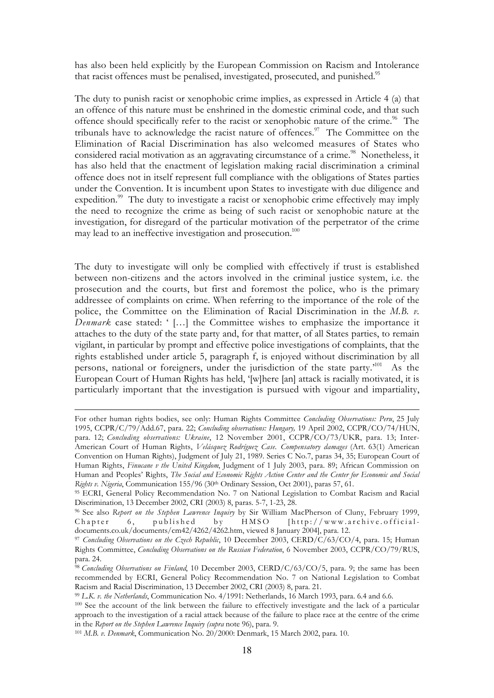has also been held explicitly by the European Commission on Racism and Intolerance that racist offences must be penalised, investigated, prosecuted, and punished.<sup>95</sup>

The duty to punish racist or xenophobic crime implies, as expressed in Article 4 (a) that an offence of this nature must be enshrined in the domestic criminal code, and that such offence should specifically refer to the racist or xenophobic nature of the crime.<sup>96</sup> The tribunals have to acknowledge the racist nature of offences.<sup>97</sup> The Committee on the Elimination of Racial Discrimination has also welcomed measures of States who considered racial motivation as an aggravating circumstance of a crime.<sup>98</sup> Nonetheless, it has also held that the enactment of legislation making racial discrimination a criminal offence does not in itself represent full compliance with the obligations of States parties under the Convention. It is incumbent upon States to investigate with due diligence and expedition.<sup>99</sup> The duty to investigate a racist or xenophobic crime effectively may imply the need to recognize the crime as being of such racist or xenophobic nature at the investigation, for disregard of the particular motivation of the perpetrator of the crime may lead to an ineffective investigation and prosecution.<sup>100</sup>

The duty to investigate will only be complied with effectively if trust is established between non-citizens and the actors involved in the criminal justice system, i.e. the prosecution and the courts, but first and foremost the police, who is the primary addressee of complaints on crime. When referring to the importance of the role of the police, the Committee on the Elimination of Racial Discrimination in the *M.B. v. Denmark* case stated: ' […] the Committee wishes to emphasize the importance it attaches to the duty of the state party and, for that matter, of all States parties, to remain vigilant, in particular by prompt and effective police investigations of complaints, that the rights established under article 5, paragraph f, is enjoyed without discrimination by all persons, national or foreigners, under the jurisdiction of the state party.<sup>101</sup> As the European Court of Human Rights has held, '[w]here [an] attack is racially motivated, it is particularly important that the investigation is pursued with vigour and impartiality,

For other human rights bodies, see only: Human Rights Committee *Concluding Observations: Peru*, 25 July 1995, CCPR/C/79/Add.67, para. 22; *Concluding observations: Hungary,* 19 April 2002, CCPR/CO/74/HUN, para. 12; *Concluding observations: Ukraine*, 12 November 2001, CCPR/CO/73/UKR, para. 13; Inter-American Court of Human Rights, *Velásquez Rodríguez Case. Compensatory damages* (Art. 63(1) American Convention on Human Rights), Judgment of July 21, 1989. Series C No.7, paras 34, 35; European Court of Human Rights, *Finucane v the United Kingdom*, Judgment of 1 July 2003, para. 89; African Commission on Human and Peoples' Rights, *The Social and Economic Rights Action Center and the Center for Economic and Social Rights v. Nigeria*, Communication 155/96 (30th Ordinary Session, Oct 2001), paras 57, 61.

<sup>95</sup> ECRI, General Policy Recommendation No. 7 on National Legislation to Combat Racism and Racial Discrimination, 13 December 2002, CRI (2003) 8, paras. 5-7, 1-23, 28.

<sup>96</sup> See also *Report on the Stephen Lawrence Inquiry* by Sir William MacPherson of Cluny, February 1999, Chapter 6, published by  $HMSO$  [http://www.archive.officialdocuments.co.uk/documents/cm42/4262/4262.htm, viewed 8 January 2004], para. 12.

<sup>97</sup> *Concluding Observations on the Czech Republic*, 10 December 2003, CERD/C/63/CO/4, para. 15; Human Rights Committee, *Concluding Observations on the Russian Federation*, 6 November 2003, CCPR/CO/79/RUS, para. 24.

<sup>&</sup>lt;sup>98</sup> *Concluding Observations on Finland*, 10 December 2003, CERD/C/63/CO/5, para. 9; the same has been recommended by ECRI, General Policy Recommendation No. 7 on National Legislation to Combat Racism and Racial Discrimination, 13 December 2002, CRI (2003) 8, para. 21.

<sup>99</sup> *L.K. v. the Netherlands*, Communication No. 4/1991: Netherlands, 16 March 1993, para. 6.4 and 6.6.

<sup>100</sup> See the account of the link between the failure to effectively investigate and the lack of a particular approach to the investigation of a racial attack because of the failure to place race at the centre of the crime in the *Report on the Stephen Lawrence Inquiry (supra* note 96), para. 9.

<sup>101</sup> *M.B. v. Denmark*, Communication No. 20/2000: Denmark, 15 March 2002, para. 10.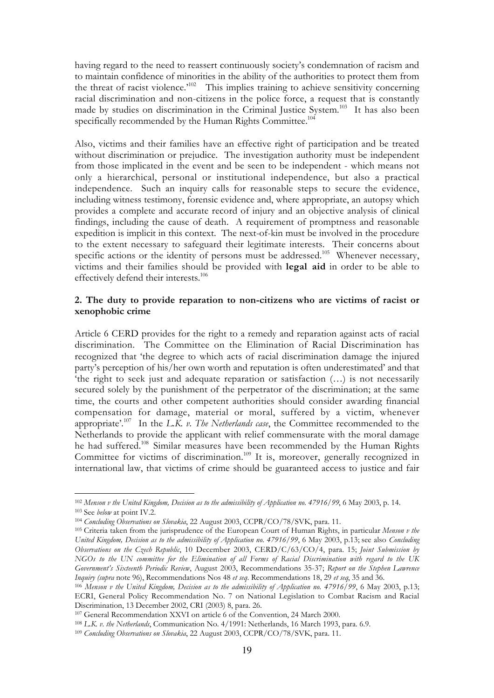having regard to the need to reassert continuously society's condemnation of racism and to maintain confidence of minorities in the ability of the authorities to protect them from the threat of racist violence.<sup> $102$ </sup> This implies training to achieve sensitivity concerning racial discrimination and non-citizens in the police force, a request that is constantly made by studies on discrimination in the Criminal Justice System.<sup>103</sup> It has also been specifically recommended by the Human Rights Committee.<sup>104</sup>

Also, victims and their families have an effective right of participation and be treated without discrimination or prejudice. The investigation authority must be independent from those implicated in the event and be seen to be independent - which means not only a hierarchical, personal or institutional independence, but also a practical independence. Such an inquiry calls for reasonable steps to secure the evidence, including witness testimony, forensic evidence and, where appropriate, an autopsy which provides a complete and accurate record of injury and an objective analysis of clinical findings, including the cause of death. A requirement of promptness and reasonable expedition is implicit in this context. The next-of-kin must be involved in the procedure to the extent necessary to safeguard their legitimate interests. Their concerns about specific actions or the identity of persons must be addressed.<sup>105</sup> Whenever necessary, victims and their families should be provided with **legal aid** in order to be able to effectively defend their interests.<sup>106</sup>

## **2. The duty to provide reparation to non-citizens who are victims of racist or xenophobic crime**

Article 6 CERD provides for the right to a remedy and reparation against acts of racial discrimination. The Committee on the Elimination of Racial Discrimination has recognized that 'the degree to which acts of racial discrimination damage the injured party's perception of his/her own worth and reputation is often underestimated' and that 'the right to seek just and adequate reparation or satisfaction (…) is not necessarily secured solely by the punishment of the perpetrator of the discrimination; at the same time, the courts and other competent authorities should consider awarding financial compensation for damage, material or moral, suffered by a victim, whenever appropriate'.<sup>107</sup> In the *L.K. v. The Netherlands case*, the Committee recommended to the Netherlands to provide the applicant with relief commensurate with the moral damage he had suffered.108 Similar measures have been recommended by the Human Rights Committee for victims of discrimination.<sup>109</sup> It is, moreover, generally recognized in international law, that victims of crime should be guaranteed access to justice and fair

<sup>102</sup> *Menson v the United Kingdom, Decision as to the admissibility of Application no. 47916/99*, 6 May 2003, p. 14. 103 See *below* at point IV.2.

<sup>104</sup> *Concluding Observations on Slovakia*, 22 August 2003, CCPR/CO/78/SVK, para. 11.

<sup>105</sup> Criteria taken from the jurisprudence of the European Court of Human Rights, in particular *Menson v the United Kingdom, Decision as to the admissibility of Application no. 47916/99*, 6 May 2003, p.13; see also *Concluding Observations on the Czech Republic*, 10 December 2003, CERD/C/63/CO/4, para. 15; *Joint Submission by NGOs to the UN committee for the Elimination of all Forms of Racial Discrimination with regard to the UK Government's Sixteenth Periodic Review*, August 2003, Recommendations 35-37; *Report on the Stephen Lawrence Inquiry (supra* note 96), Recommendations Nos 48 *et seq*. Recommendations 18, 29 *et seq*, 35 and 36.

<sup>106</sup> *Menson v the United Kingdom, Decision as to the admissibility of Application no. 47916/99*, 6 May 2003, p.13; ECRI, General Policy Recommendation No. 7 on National Legislation to Combat Racism and Racial Discrimination, 13 December 2002, CRI (2003) 8, para. 26.

<sup>107</sup> General Recommendation XXVI on article 6 of the Convention, 24 March 2000.

<sup>108</sup> *L.K. v. the Netherlands*, Communication No. 4/1991: Netherlands, 16 March 1993, para. 6.9.

<sup>109</sup> *Concluding Observations on Slovakia*, 22 August 2003, CCPR/CO/78/SVK, para. 11.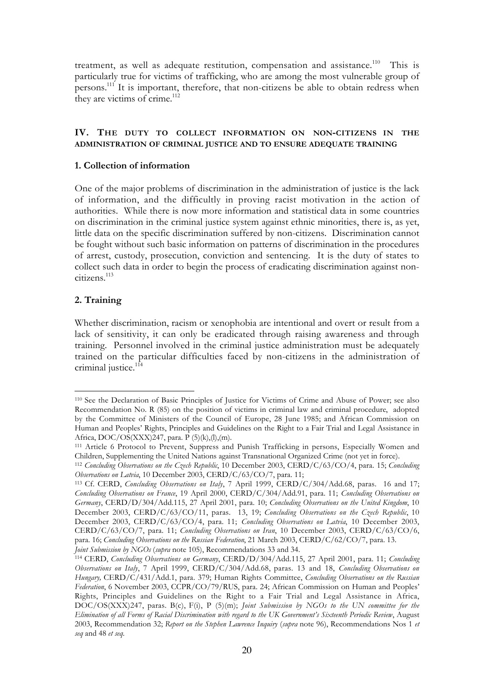treatment, as well as adequate restitution, compensation and assistance.<sup>110</sup> This is particularly true for victims of trafficking, who are among the most vulnerable group of persons.111 It is important, therefore, that non-citizens be able to obtain redress when they are victims of crime.<sup>112</sup>

## **IV. THE DUTY TO COLLECT INFORMATION ON NON-CITIZENS IN THE ADMINISTRATION OF CRIMINAL JUSTICE AND TO ENSURE ADEQUATE TRAINING**

## **1. Collection of information**

One of the major problems of discrimination in the administration of justice is the lack of information, and the difficultly in proving racist motivation in the action of authorities. While there is now more information and statistical data in some countries on discrimination in the criminal justice system against ethnic minorities, there is, as yet, little data on the specific discrimination suffered by non-citizens. Discrimination cannot be fought without such basic information on patterns of discrimination in the procedures of arrest, custody, prosecution, conviction and sentencing. It is the duty of states to collect such data in order to begin the process of eradicating discrimination against noncitizens.113

## **2. Training**

 $\overline{a}$ 

Whether discrimination, racism or xenophobia are intentional and overt or result from a lack of sensitivity, it can only be eradicated through raising awareness and through training. Personnel involved in the criminal justice administration must be adequately trained on the particular difficulties faced by non-citizens in the administration of criminal justice.<sup>114</sup>

<sup>110</sup> See the Declaration of Basic Principles of Justice for Victims of Crime and Abuse of Power; see also Recommendation No. R (85) on the position of victims in criminal law and criminal procedure, adopted by the Committee of Ministers of the Council of Europe, 28 June 1985; and African Commission on Human and Peoples' Rights, Principles and Guidelines on the Right to a Fair Trial and Legal Assistance in Africa, DOC/OS(XXX)247, para. P (5)(k),(l),(m).

<sup>111</sup> Article 6 Protocol to Prevent, Suppress and Punish Trafficking in persons, Especially Women and Children, Supplementing the United Nations against Transnational Organized Crime (not yet in force).

<sup>112</sup> *Concluding Observations on the Czech Republic*, 10 December 2003, CERD/C/63/CO/4, para. 15; *Concluding Observations on Latvia*, 10 December 2003, CERD/C/63/CO/7, para. 11;

<sup>113</sup> Cf. CERD, *Concluding Observations on Italy*, 7 April 1999, CERD/C/304/Add.68, paras. 16 and 17; *Concluding Observations on France*, 19 April 2000, CERD/C/304/Add.91, para. 11; *Concluding Observations on Germany*, CERD/D/304/Add.115, 27 April 2001, para. 10; *Concluding Observations on the United Kingdom*, 10 December 2003, CERD/C/63/CO/11, paras. 13, 19; *Concluding Observations on the Czech Republic*, 10 December 2003, CERD/C/63/CO/4, para. 11; *Concluding Observations on Latvia*, 10 December 2003, CERD/C/63/CO/7, para. 11; *Concluding Observations on Iran*, 10 December 2003, CERD/C/63/CO/6, para. 16; *Concluding Observations on the Russian Federation*, 21 March 2003, CERD/C/62/CO/7, para. 13. *Joint Submission by NGOs* (*supra* note 105), Recommendations 33 and 34.

<sup>114</sup> CERD, *Concluding Observations on Germany*, CERD/D/304/Add.115, 27 April 2001, para. 11; *Concluding Observations on Italy*, 7 April 1999, CERD/C/304/Add.68, paras. 13 and 18, *Concluding Observations on Hungary,* CERD/C/431/Add.1, para. 379; Human Rights Committee, *Concluding Observations on the Russian Federation*, 6 November 2003, CCPR/CO/79/RUS, para. 24; African Commission on Human and Peoples' Rights, Principles and Guidelines on the Right to a Fair Trial and Legal Assistance in Africa, DOC/OS(XXX)247, paras. B(c), F(i), P (5)(m); *Joint Submission by NGOs to the UN committee for the Elimination of all Forms of Racial Discrimination with regard to the UK Government's Sixteenth Periodic Review*, August 2003, Recommendation 32; *Report on the Stephen Lawrence Inquiry* (*supra* note 96), Recommendations Nos 1 *et seq* and 48 *et seq*.